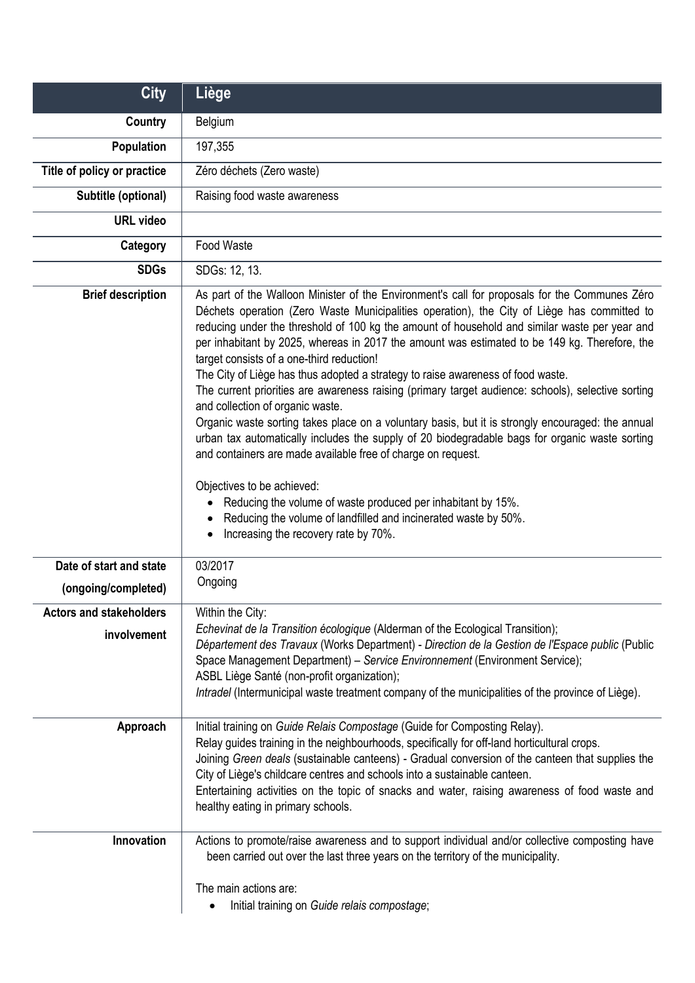| <b>City</b>                                    | Liège                                                                                                                                                                                                                                                                                                                                                                                                                                                                                                                                                                                                                                                                                                                                                                                                                                                                                                                                                                                                                                                                                                                                                                 |
|------------------------------------------------|-----------------------------------------------------------------------------------------------------------------------------------------------------------------------------------------------------------------------------------------------------------------------------------------------------------------------------------------------------------------------------------------------------------------------------------------------------------------------------------------------------------------------------------------------------------------------------------------------------------------------------------------------------------------------------------------------------------------------------------------------------------------------------------------------------------------------------------------------------------------------------------------------------------------------------------------------------------------------------------------------------------------------------------------------------------------------------------------------------------------------------------------------------------------------|
| Country                                        | Belgium                                                                                                                                                                                                                                                                                                                                                                                                                                                                                                                                                                                                                                                                                                                                                                                                                                                                                                                                                                                                                                                                                                                                                               |
| Population                                     | 197,355                                                                                                                                                                                                                                                                                                                                                                                                                                                                                                                                                                                                                                                                                                                                                                                                                                                                                                                                                                                                                                                                                                                                                               |
| Title of policy or practice                    | Zéro déchets (Zero waste)                                                                                                                                                                                                                                                                                                                                                                                                                                                                                                                                                                                                                                                                                                                                                                                                                                                                                                                                                                                                                                                                                                                                             |
| Subtitle (optional)                            | Raising food waste awareness                                                                                                                                                                                                                                                                                                                                                                                                                                                                                                                                                                                                                                                                                                                                                                                                                                                                                                                                                                                                                                                                                                                                          |
| <b>URL video</b>                               |                                                                                                                                                                                                                                                                                                                                                                                                                                                                                                                                                                                                                                                                                                                                                                                                                                                                                                                                                                                                                                                                                                                                                                       |
| Category                                       | Food Waste                                                                                                                                                                                                                                                                                                                                                                                                                                                                                                                                                                                                                                                                                                                                                                                                                                                                                                                                                                                                                                                                                                                                                            |
| <b>SDGs</b>                                    | SDGs: 12, 13.                                                                                                                                                                                                                                                                                                                                                                                                                                                                                                                                                                                                                                                                                                                                                                                                                                                                                                                                                                                                                                                                                                                                                         |
| <b>Brief description</b>                       | As part of the Walloon Minister of the Environment's call for proposals for the Communes Zéro<br>Déchets operation (Zero Waste Municipalities operation), the City of Liège has committed to<br>reducing under the threshold of 100 kg the amount of household and similar waste per year and<br>per inhabitant by 2025, whereas in 2017 the amount was estimated to be 149 kg. Therefore, the<br>target consists of a one-third reduction!<br>The City of Liège has thus adopted a strategy to raise awareness of food waste.<br>The current priorities are awareness raising (primary target audience: schools), selective sorting<br>and collection of organic waste.<br>Organic waste sorting takes place on a voluntary basis, but it is strongly encouraged: the annual<br>urban tax automatically includes the supply of 20 biodegradable bags for organic waste sorting<br>and containers are made available free of charge on request.<br>Objectives to be achieved:<br>Reducing the volume of waste produced per inhabitant by 15%.<br>Reducing the volume of landfilled and incinerated waste by 50%.<br>Increasing the recovery rate by 70%.<br>$\bullet$ |
| Date of start and state<br>(ongoing/completed) | 03/2017<br>Ongoing                                                                                                                                                                                                                                                                                                                                                                                                                                                                                                                                                                                                                                                                                                                                                                                                                                                                                                                                                                                                                                                                                                                                                    |
| <b>Actors and stakeholders</b><br>involvement  | Within the City:<br>Echevinat de la Transition écologique (Alderman of the Ecological Transition);<br>Département des Travaux (Works Department) - Direction de la Gestion de l'Espace public (Public<br>Space Management Department) - Service Environnement (Environment Service);<br>ASBL Liège Santé (non-profit organization);<br>Intradel (Intermunicipal waste treatment company of the municipalities of the province of Liège).                                                                                                                                                                                                                                                                                                                                                                                                                                                                                                                                                                                                                                                                                                                              |
| Approach                                       | Initial training on Guide Relais Compostage (Guide for Composting Relay).<br>Relay guides training in the neighbourhoods, specifically for off-land horticultural crops.<br>Joining Green deals (sustainable canteens) - Gradual conversion of the canteen that supplies the<br>City of Liège's childcare centres and schools into a sustainable canteen.<br>Entertaining activities on the topic of snacks and water, raising awareness of food waste and<br>healthy eating in primary schools.                                                                                                                                                                                                                                                                                                                                                                                                                                                                                                                                                                                                                                                                      |
| Innovation                                     | Actions to promote/raise awareness and to support individual and/or collective composting have<br>been carried out over the last three years on the territory of the municipality.<br>The main actions are:<br>Initial training on Guide relais compostage;<br>٠                                                                                                                                                                                                                                                                                                                                                                                                                                                                                                                                                                                                                                                                                                                                                                                                                                                                                                      |